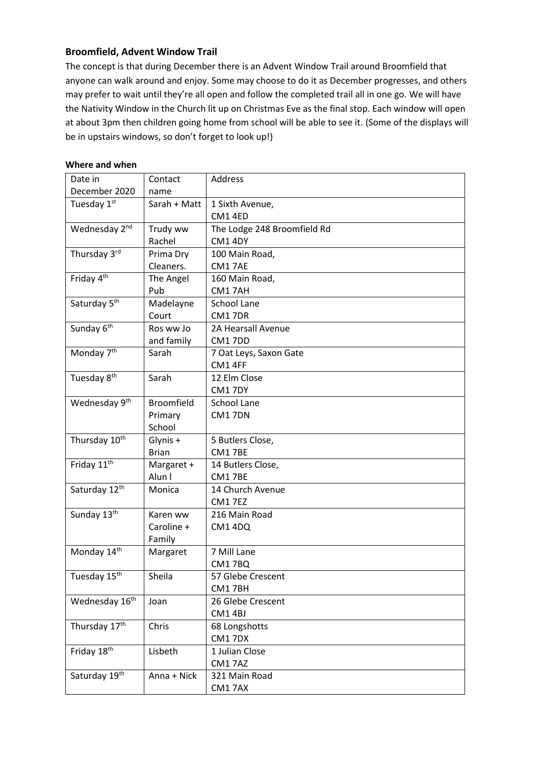## **Broomfield, Advent Window Trail**

The concept is that during December there is an Advent Window Trail around Broomfield that anyone can walk around and enjoy. Some may choose to do it as December progresses, and others may prefer to wait until they're all open and follow the completed trail all in one go. We will have the Nativity Window in the Church lit up on Christmas Eve as the final stop. Each window will open at about 3pm then children going home from school will be able to see it. (Some of the displays will be in upstairs windows, so don't forget to look up!)

| Date in                   | Contact           | Address                     |
|---------------------------|-------------------|-----------------------------|
| December 2020             | name              |                             |
| Tuesday 1st               | Sarah + Matt      | 1 Sixth Avenue,             |
|                           |                   | CM14ED                      |
| Wednesday 2nd             | Trudy ww          | The Lodge 248 Broomfield Rd |
|                           | Rachel            | CM1 4DY                     |
| Thursday 3rd              | Prima Dry         | 100 Main Road,              |
|                           | Cleaners.         | CM17AE                      |
| Friday 4 <sup>th</sup>    | The Angel         | 160 Main Road,              |
|                           | Pub               | CM17AH                      |
| Saturday 5 <sup>th</sup>  | Madelayne         | School Lane                 |
|                           | Court             | CM17DR                      |
| Sunday 6 <sup>th</sup>    | Ros ww Jo         | 2A Hearsall Avenue          |
|                           | and family        | CM17DD                      |
| Monday 7 <sup>th</sup>    | Sarah             | 7 Oat Leys, Saxon Gate      |
|                           |                   | CM1 4FF                     |
| Tuesday 8 <sup>th</sup>   | Sarah             | 12 Elm Close                |
|                           |                   | CM17DY                      |
| Wednesday 9 <sup>th</sup> | <b>Broomfield</b> | School Lane                 |
|                           | Primary           | CM17DN                      |
|                           | School            |                             |
| Thursday 10 <sup>th</sup> | Glynis +          | 5 Butlers Close,            |
|                           | <b>Brian</b>      | CM17BE                      |
| Friday 11 <sup>th</sup>   | Margaret +        | 14 Butlers Close,           |
|                           | Alun I            | CM17BE                      |
| Saturday 12th             | Monica            | 14 Church Avenue            |
|                           |                   | <b>CM17EZ</b>               |
| Sunday 13th               | Karen ww          | 216 Main Road               |
|                           | Caroline +        | CM1 4DQ                     |
|                           | Family            |                             |
| Monday 14th               | Margaret          | 7 Mill Lane                 |
|                           |                   | CM17BQ                      |
| Tuesday 15th              | Sheila            | 57 Glebe Crescent           |
|                           |                   | CM17BH                      |
| Wednesday 16th            | Joan              | 26 Glebe Crescent           |
|                           |                   | CM1 4BJ                     |
| Thursday 17th             | Chris             | 68 Longshotts               |
|                           |                   | CM17DX                      |
| Friday 18th               | Lisbeth           | 1 Julian Close              |
|                           |                   | CM17AZ                      |
| Saturday 19th             | Anna + Nick       | 321 Main Road               |

CM1 7AX

## **Where and when**